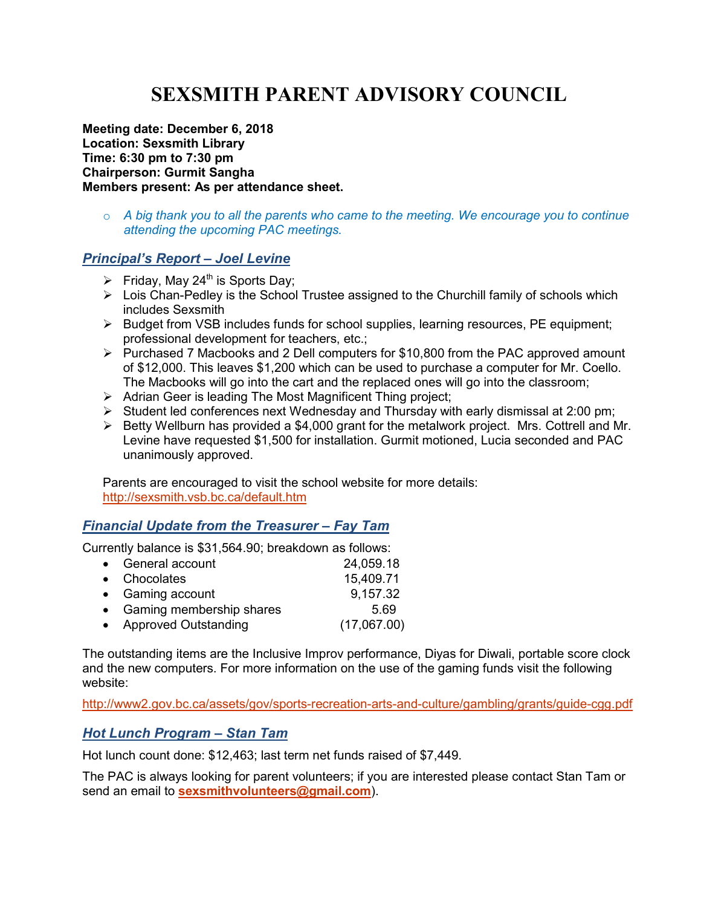# **SEXSMITH PARENT ADVISORY COUNCIL**

**Meeting date: December 6, 2018 Location: Sexsmith Library Time: 6:30 pm to 7:30 pm Chairperson: Gurmit Sangha Members present: As per attendance sheet.** 

o *A big thank you to all the parents who came to the meeting. We encourage you to continue attending the upcoming PAC meetings.* 

#### *Principal's Report – Joel Levine*

- $\triangleright$  Friday, May 24<sup>th</sup> is Sports Day;
- $\triangleright$  Lois Chan-Pedley is the School Trustee assigned to the Churchill family of schools which includes Sexsmith
- $\triangleright$  Budget from VSB includes funds for school supplies, learning resources, PE equipment; professional development for teachers, etc.;
- Purchased 7 Macbooks and 2 Dell computers for \$10,800 from the PAC approved amount of \$12,000. This leaves \$1,200 which can be used to purchase a computer for Mr. Coello. The Macbooks will go into the cart and the replaced ones will go into the classroom;
- $\triangleright$  Adrian Geer is leading The Most Magnificent Thing project;
- $\triangleright$  Student led conferences next Wednesday and Thursday with early dismissal at 2:00 pm;
- $\triangleright$  Betty Wellburn has provided a \$4,000 grant for the metalwork project. Mrs. Cottrell and Mr. Levine have requested \$1,500 for installation. Gurmit motioned, Lucia seconded and PAC unanimously approved.

Parents are encouraged to visit the school website for more details: http://sexsmith.vsb.bc.ca/default.htm

#### *Financial Update from the Treasurer – Fay Tam*

Currently balance is \$31,564.90; breakdown as follows:

| • General account          | 24,059.18   |
|----------------------------|-------------|
| • Chocolates               | 15,409.71   |
| • Gaming account           | 9,157.32    |
| • Gaming membership shares | 5.69        |
| • Approved Outstanding     | (17,067.00) |
|                            |             |

The outstanding items are the Inclusive Improv performance, Diyas for Diwali, portable score clock and the new computers. For more information on the use of the gaming funds visit the following website:

http://www2.gov.bc.ca/assets/gov/sports-recreation-arts-and-culture/gambling/grants/guide-cgg.pdf

#### *Hot Lunch Program – Stan Tam*

Hot lunch count done: \$12,463; last term net funds raised of \$7,449.

The PAC is always looking for parent volunteers; if you are interested please contact Stan Tam or send an email to **sexsmithvolunteers@gmail.com**).